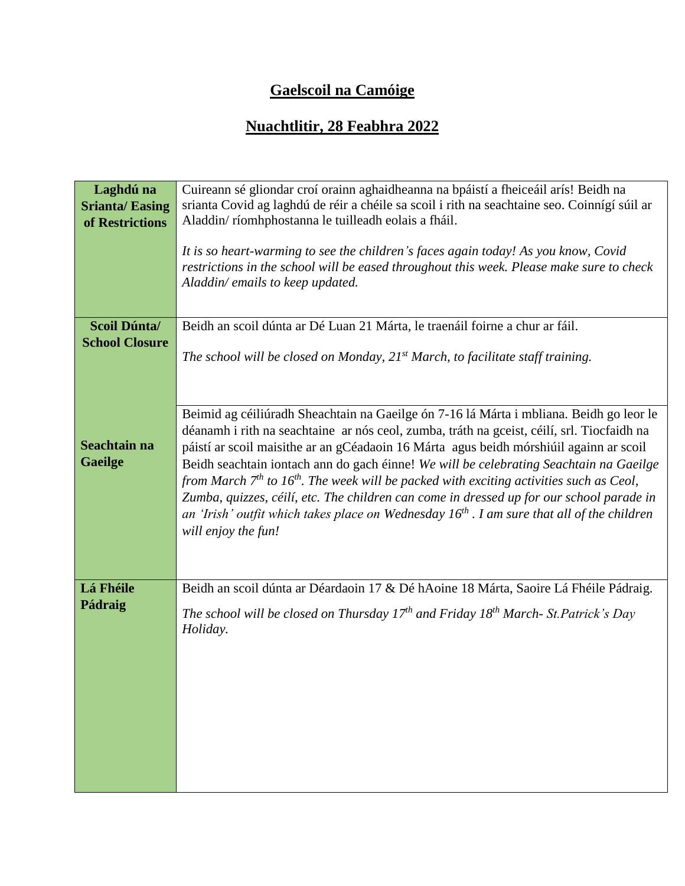## **Gaelscoil na Camóige**

## **Nuachtlitir, 28 Feabhra 2022**

| Laghdú na<br><b>Srianta/Easing</b><br>of Restrictions | Cuireann sé gliondar croí orainn aghaidheanna na bpáistí a fheiceáil arís! Beidh na<br>srianta Covid ag laghdú de réir a chéile sa scoil i rith na seachtaine seo. Coinnígí súil ar<br>Aladdin/ríomhphostanna le tuilleadh eolais a fháil.<br>It is so heart-warming to see the children's faces again today! As you know, Covid<br>restrictions in the school will be eased throughout this week. Please make sure to check<br>Aladdin/emails to keep updated.                                                                                                                                                                                                                             |
|-------------------------------------------------------|---------------------------------------------------------------------------------------------------------------------------------------------------------------------------------------------------------------------------------------------------------------------------------------------------------------------------------------------------------------------------------------------------------------------------------------------------------------------------------------------------------------------------------------------------------------------------------------------------------------------------------------------------------------------------------------------|
| Scoil Dúnta/<br><b>School Closure</b>                 | Beidh an scoil dúnta ar Dé Luan 21 Márta, le traenáil foirne a chur ar fáil.<br>The school will be closed on Monday, $21^{st}$ March, to facilitate staff training.                                                                                                                                                                                                                                                                                                                                                                                                                                                                                                                         |
| Seachtain na<br><b>Gaeilge</b>                        | Beimid ag céiliúradh Sheachtain na Gaeilge ón 7-16 lá Márta i mbliana. Beidh go leor le<br>déanamh i rith na seachtaine ar nós ceol, zumba, tráth na gceist, céilí, srl. Tiocfaidh na<br>páistí ar scoil maisithe ar an gCéadaoin 16 Márta agus beidh mórshiúil againn ar scoil<br>Beidh seachtain iontach ann do gach éinne! We will be celebrating Seachtain na Gaeilge<br>from March $7th$ to $16th$ . The week will be packed with exciting activities such as Ceol,<br>Zumba, quizzes, céilí, etc. The children can come in dressed up for our school parade in<br>an 'Irish' outfit which takes place on Wednesday $16th$ . I am sure that all of the children<br>will enjoy the fun! |
| Lá Fhéile<br>Pádraig                                  | Beidh an scoil dúnta ar Déardaoin 17 & Dé hAoine 18 Márta, Saoire Lá Fhéile Pádraig.<br>The school will be closed on Thursday $17^{th}$ and Friday $18^{th}$ March-St.Patrick's Day<br>Holiday.                                                                                                                                                                                                                                                                                                                                                                                                                                                                                             |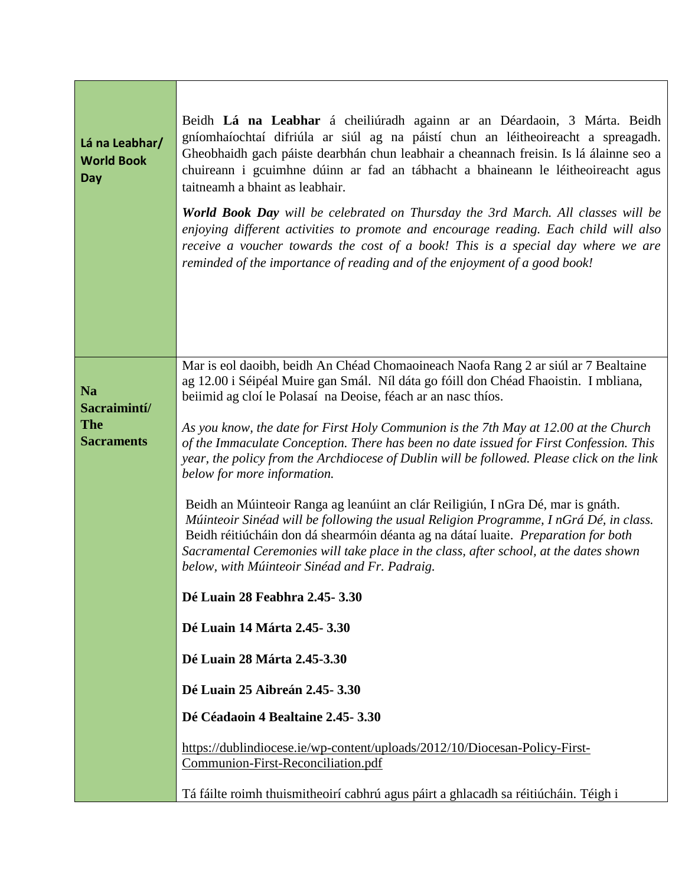| Lá na Leabhar/<br><b>World Book</b><br>Day                   | Beidh Lá na Leabhar á cheiliúradh againn ar an Déardaoin, 3 Márta. Beidh<br>gníomhaíochtaí difriúla ar siúl ag na páistí chun an léitheoireacht a spreagadh.<br>Gheobhaidh gach páiste dearbhán chun leabhair a cheannach freisin. Is lá álainne seo a<br>chuireann i gcuimhne dúinn ar fad an tábhacht a bhaineann le léitheoireacht agus<br>taitneamh a bhaint as leabhair.<br><b>World Book Day</b> will be celebrated on Thursday the 3rd March. All classes will be<br>enjoying different activities to promote and encourage reading. Each child will also<br>receive a voucher towards the cost of a book! This is a special day where we are<br>reminded of the importance of reading and of the enjoyment of a good book! |
|--------------------------------------------------------------|------------------------------------------------------------------------------------------------------------------------------------------------------------------------------------------------------------------------------------------------------------------------------------------------------------------------------------------------------------------------------------------------------------------------------------------------------------------------------------------------------------------------------------------------------------------------------------------------------------------------------------------------------------------------------------------------------------------------------------|
| <b>Na</b><br>Sacraimintí/<br><b>The</b><br><b>Sacraments</b> | Mar is eol daoibh, beidh An Chéad Chomaoineach Naofa Rang 2 ar siúl ar 7 Bealtaine<br>ag 12.00 i Séipéal Muire gan Smál. Níl dáta go fóill don Chéad Fhaoistin. I mbliana,<br>beiimid ag cloí le Polasaí na Deoise, féach ar an nasc thíos.<br>As you know, the date for First Holy Communion is the 7th May at 12.00 at the Church<br>of the Immaculate Conception. There has been no date issued for First Confession. This<br>year, the policy from the Archdiocese of Dublin will be followed. Please click on the link<br>below for more information.                                                                                                                                                                         |
|                                                              | Beidh an Múinteoir Ranga ag leanúint an clár Reiligiún, I nGra Dé, mar is gnáth.<br>Múinteoir Sinéad will be following the usual Religion Programme, InGrá Dé, in class.<br>Beidh réitiúcháin don dá shearmóin déanta ag na dátaí luaite. Preparation for both<br>Sacramental Ceremonies will take place in the class, after school, at the dates shown<br>below, with Múinteoir Sinéad and Fr. Padraig.<br>Dé Luain 28 Feabhra 2.45-3.30                                                                                                                                                                                                                                                                                          |
|                                                              | Dé Luain 14 Márta 2.45-3.30                                                                                                                                                                                                                                                                                                                                                                                                                                                                                                                                                                                                                                                                                                        |
|                                                              | Dé Luain 28 Márta 2.45-3.30                                                                                                                                                                                                                                                                                                                                                                                                                                                                                                                                                                                                                                                                                                        |
|                                                              | Dé Luain 25 Aibreán 2.45-3.30<br>Dé Céadaoin 4 Bealtaine 2.45-3.30                                                                                                                                                                                                                                                                                                                                                                                                                                                                                                                                                                                                                                                                 |
|                                                              | https://dublindiocese.ie/wp-content/uploads/2012/10/Diocesan-Policy-First-<br>Communion-First-Reconciliation.pdf                                                                                                                                                                                                                                                                                                                                                                                                                                                                                                                                                                                                                   |
|                                                              | Tá fáilte roimh thuismitheoirí cabhrú agus páirt a ghlacadh sa réitiúcháin. Téigh i                                                                                                                                                                                                                                                                                                                                                                                                                                                                                                                                                                                                                                                |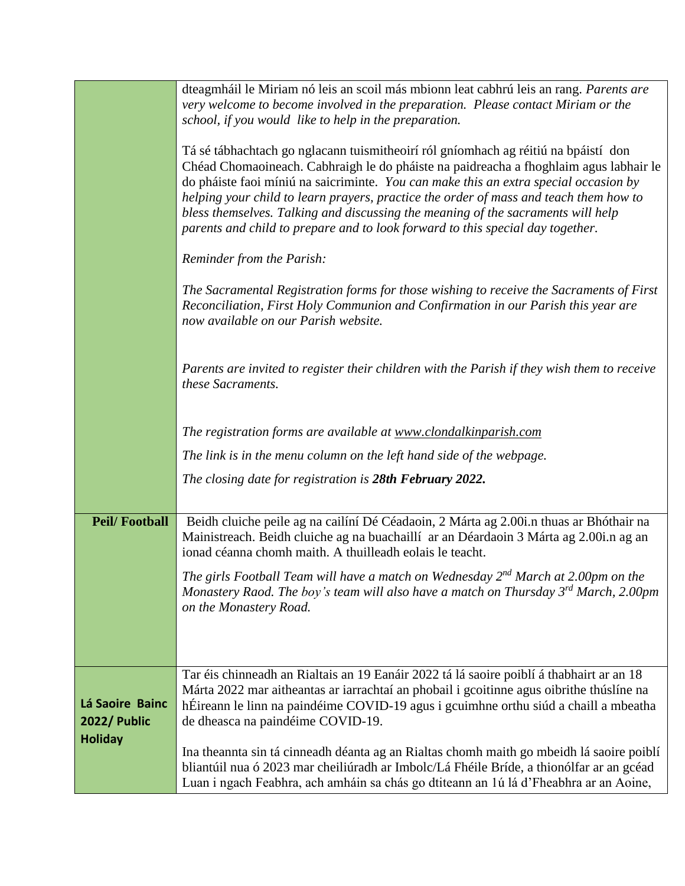|                                 | dteagmháil le Miriam nó leis an scoil más mbionn leat cabhrú leis an rang. Parents are<br>very welcome to become involved in the preparation. Please contact Miriam or the<br>school, if you would like to help in the preparation.                                                                                                                                                                                                                                                                                                |
|---------------------------------|------------------------------------------------------------------------------------------------------------------------------------------------------------------------------------------------------------------------------------------------------------------------------------------------------------------------------------------------------------------------------------------------------------------------------------------------------------------------------------------------------------------------------------|
|                                 | Tá sé tábhachtach go nglacann tuismitheoirí ról gníomhach ag réitiú na bpáistí don<br>Chéad Chomaoineach. Cabhraigh le do pháiste na paidreacha a fhoghlaim agus labhair le<br>do pháiste faoi míniú na saicriminte. You can make this an extra special occasion by<br>helping your child to learn prayers, practice the order of mass and teach them how to<br>bless themselves. Talking and discussing the meaning of the sacraments will help<br>parents and child to prepare and to look forward to this special day together. |
|                                 | Reminder from the Parish:                                                                                                                                                                                                                                                                                                                                                                                                                                                                                                          |
|                                 | The Sacramental Registration forms for those wishing to receive the Sacraments of First<br>Reconciliation, First Holy Communion and Confirmation in our Parish this year are<br>now available on our Parish website.                                                                                                                                                                                                                                                                                                               |
|                                 | Parents are invited to register their children with the Parish if they wish them to receive<br>these Sacraments.                                                                                                                                                                                                                                                                                                                                                                                                                   |
|                                 | The registration forms are available at www.clondalkinparish.com                                                                                                                                                                                                                                                                                                                                                                                                                                                                   |
|                                 | The link is in the menu column on the left hand side of the webpage.                                                                                                                                                                                                                                                                                                                                                                                                                                                               |
|                                 | The closing date for registration is 28th February 2022.                                                                                                                                                                                                                                                                                                                                                                                                                                                                           |
| <b>Peil/Football</b>            | Beidh cluiche peile ag na cailíní Dé Céadaoin, 2 Márta ag 2.00i.n thuas ar Bhóthair na<br>Mainistreach. Beidh cluiche ag na buachaillí ar an Déardaoin 3 Márta ag 2.00i.n ag an<br>ionad céanna chomh maith. A thuilleadh eolais le teacht.                                                                                                                                                                                                                                                                                        |
|                                 | The girls Football Team will have a match on Wednesday $2^{nd}$ March at 2.00pm on the<br>Monastery Raod. The boy's team will also have a match on Thursday 3 <sup>rd</sup> March, 2.00pm<br>on the Monastery Road.                                                                                                                                                                                                                                                                                                                |
|                                 | Tar éis chinneadh an Rialtais an 19 Eanáir 2022 tá lá saoire poiblí á thabhairt ar an 18                                                                                                                                                                                                                                                                                                                                                                                                                                           |
| Lá Saoire Bainc<br>2022/ Public | Márta 2022 mar aitheantas ar iarrachtaí an phobail i gcoitinne agus oibrithe thúslíne na<br>hÉireann le linn na paindéime COVID-19 agus i gcuimhne orthu siúd a chaill a mbeatha<br>de dheasca na paindéime COVID-19.                                                                                                                                                                                                                                                                                                              |
| <b>Holiday</b>                  | Ina theannta sin tá cinneadh déanta ag an Rialtas chomh maith go mbeidh lá saoire poiblí<br>bliantúil nua ó 2023 mar cheiliúradh ar Imbolc/Lá Fhéile Bríde, a thionólfar ar an gcéad<br>Luan i ngach Feabhra, ach amháin sa chás go dtiteann an 1ú lá d'Fheabhra ar an Aoine,                                                                                                                                                                                                                                                      |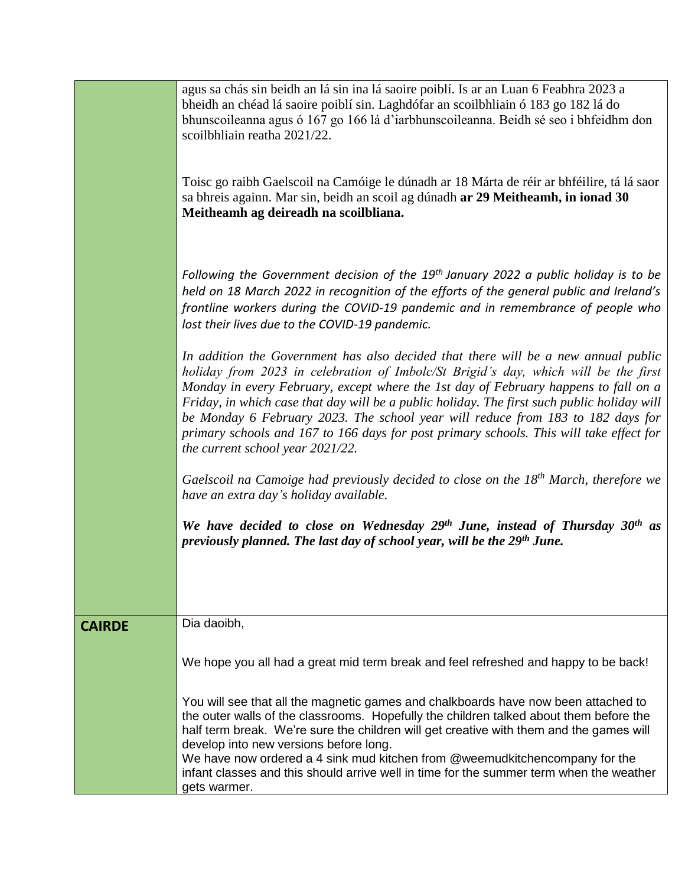|               | agus sa chás sin beidh an lá sin ina lá saoire poiblí. Is ar an Luan 6 Feabhra 2023 a<br>bheidh an chéad lá saoire poiblí sin. Laghdófar an scoilbhliain ó 183 go 182 lá do<br>bhunscoileanna agus ó 167 go 166 lá d'iarbhunscoileanna. Beidh sé seo i bhfeidhm don<br>scoilbhliain reatha 2021/22.                                                                                                                                                                                                                                                                               |
|---------------|-----------------------------------------------------------------------------------------------------------------------------------------------------------------------------------------------------------------------------------------------------------------------------------------------------------------------------------------------------------------------------------------------------------------------------------------------------------------------------------------------------------------------------------------------------------------------------------|
|               | Toisc go raibh Gaelscoil na Camóige le dúnadh ar 18 Márta de réir ar bhféilire, tá lá saor<br>sa bhreis againn. Mar sin, beidh an scoil ag dúnadh ar 29 Meitheamh, in ionad 30<br>Meitheamh ag deireadh na scoilbliana.                                                                                                                                                                                                                                                                                                                                                           |
|               | Following the Government decision of the 19 <sup>th</sup> January 2022 a public holiday is to be<br>held on 18 March 2022 in recognition of the efforts of the general public and Ireland's<br>frontline workers during the COVID-19 pandemic and in remembrance of people who<br>lost their lives due to the COVID-19 pandemic.                                                                                                                                                                                                                                                  |
|               | In addition the Government has also decided that there will be a new annual public<br>holiday from 2023 in celebration of Imbolc/St Brigid's day, which will be the first<br>Monday in every February, except where the 1st day of February happens to fall on a<br>Friday, in which case that day will be a public holiday. The first such public holiday will<br>be Monday 6 February 2023. The school year will reduce from 183 to 182 days for<br>primary schools and 167 to 166 days for post primary schools. This will take effect for<br>the current school year 2021/22. |
|               | Gaelscoil na Camoige had previously decided to close on the $18th$ March, therefore we<br>have an extra day's holiday available.                                                                                                                                                                                                                                                                                                                                                                                                                                                  |
|               | We have decided to close on Wednesday 29th June, instead of Thursday 30th as<br>previously planned. The last day of school year, will be the 29th June.                                                                                                                                                                                                                                                                                                                                                                                                                           |
| <b>CAIRDE</b> | Dia daoibh,                                                                                                                                                                                                                                                                                                                                                                                                                                                                                                                                                                       |
|               | We hope you all had a great mid term break and feel refreshed and happy to be back!                                                                                                                                                                                                                                                                                                                                                                                                                                                                                               |
|               | You will see that all the magnetic games and chalkboards have now been attached to<br>the outer walls of the classrooms. Hopefully the children talked about them before the<br>half term break. We're sure the children will get creative with them and the games will<br>develop into new versions before long.<br>We have now ordered a 4 sink mud kitchen from @weemudkitchencompany for the                                                                                                                                                                                  |
|               | infant classes and this should arrive well in time for the summer term when the weather<br>gets warmer.                                                                                                                                                                                                                                                                                                                                                                                                                                                                           |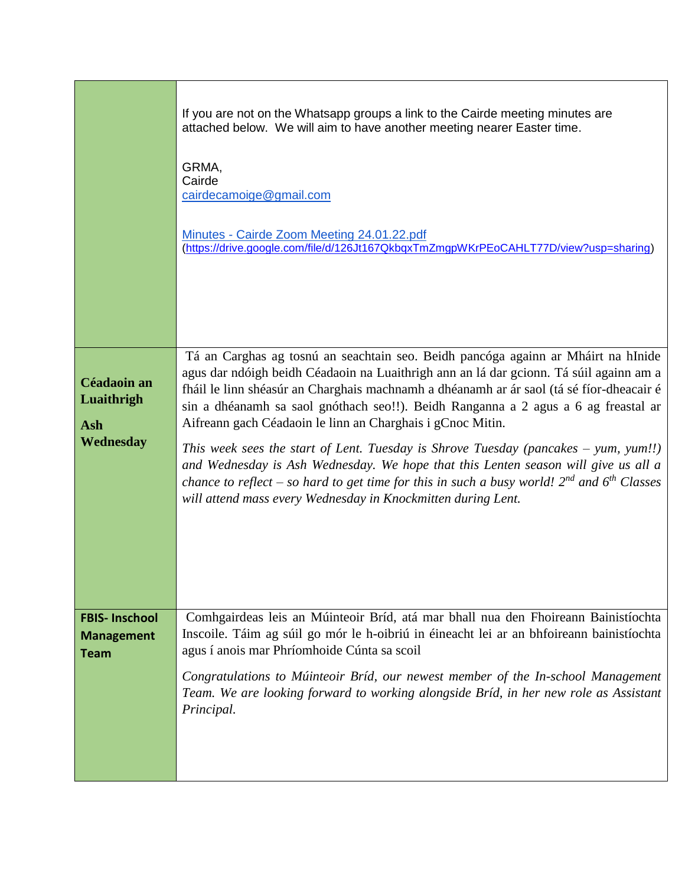|                                                          | If you are not on the Whatsapp groups a link to the Cairde meeting minutes are<br>attached below. We will aim to have another meeting nearer Easter time.<br>GRMA,<br>Cairde<br>cairdecamoige@gmail.com<br>Minutes - Cairde Zoom Meeting 24.01.22.pdf<br>(https://drive.google.com/file/d/126Jt167QkbqxTmZmgpWKrPEoCAHLT77D/view?usp=sharing)                                                                                                                                                                                                                                                                                                                                                                                                                                    |
|----------------------------------------------------------|----------------------------------------------------------------------------------------------------------------------------------------------------------------------------------------------------------------------------------------------------------------------------------------------------------------------------------------------------------------------------------------------------------------------------------------------------------------------------------------------------------------------------------------------------------------------------------------------------------------------------------------------------------------------------------------------------------------------------------------------------------------------------------|
| Céadaoin an<br>Luaithrigh<br><b>Ash</b><br>Wednesday     | Tá an Carghas ag tosnú an seachtain seo. Beidh pancóga againn ar Mháirt na hInide<br>agus dar ndóigh beidh Céadaoin na Luaithrigh ann an lá dar gcionn. Tá súil againn am a<br>fháil le linn shéasúr an Charghais machnamh a dhéanamh ar ár saol (tá sé fíor-dheacair é<br>sin a dhéanamh sa saol gnóthach seo!!). Beidh Ranganna a 2 agus a 6 ag freastal ar<br>Aifreann gach Céadaoin le linn an Charghais i gCnoc Mitin.<br>This week sees the start of Lent. Tuesday is Shrove Tuesday (pancakes – yum, yum!!)<br>and Wednesday is Ash Wednesday. We hope that this Lenten season will give us all a<br>chance to reflect – so hard to get time for this in such a busy world! $2^{nd}$ and $6^{th}$ Classes<br>will attend mass every Wednesday in Knockmitten during Lent. |
| <b>FBIS-Inschool</b><br><b>Management</b><br><b>Team</b> | Comhgairdeas leis an Múinteoir Bríd, atá mar bhall nua den Fhoireann Bainistíochta<br>Inscoile. Táim ag súil go mór le h-oibriú in éineacht lei ar an bhfoireann bainistíochta<br>agus í anois mar Phríomhoide Cúnta sa scoil<br>Congratulations to Múinteoir Bríd, our newest member of the In-school Management<br>Team. We are looking forward to working alongside Bríd, in her new role as Assistant<br>Principal.                                                                                                                                                                                                                                                                                                                                                          |